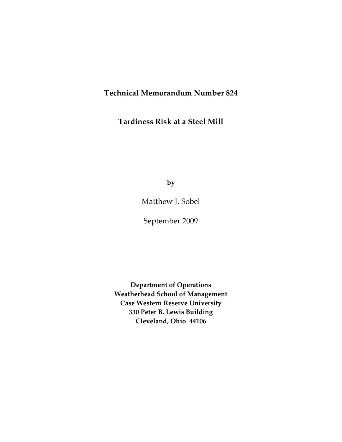### **Technical Memorandum Number 824**

**Tardiness Risk at a Steel Mill**

**by**

Matthew J. Sobel

September 2009

**Department of Operations Weatherhead School of Management Case Western Reserve University 330 Peter B. Lewis Building Cleveland, Ohio 44106**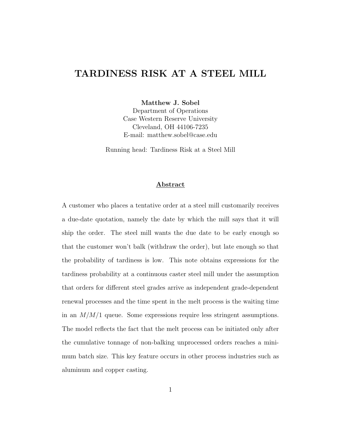### TARDINESS RISK AT A STEEL MILL

Matthew J. Sobel

Department of Operations Case Western Reserve University Cleveland, OH 44106-7235 E-mail: matthew.sobel@case.edu

Running head: Tardiness Risk at a Steel Mill

#### Abstract

A customer who places a tentative order at a steel mill customarily receives a due-date quotation, namely the date by which the mill says that it will ship the order. The steel mill wants the due date to be early enough so that the customer won't balk (withdraw the order), but late enough so that the probability of tardiness is low. This note obtains expressions for the tardiness probability at a continuous caster steel mill under the assumption that orders for different steel grades arrive as independent grade-dependent renewal processes and the time spent in the melt process is the waiting time in an  $M/M/1$  queue. Some expressions require less stringent assumptions. The model reflects the fact that the melt process can be initiated only after the cumulative tonnage of non-balking unprocessed orders reaches a minimum batch size. This key feature occurs in other process industries such as aluminum and copper casting.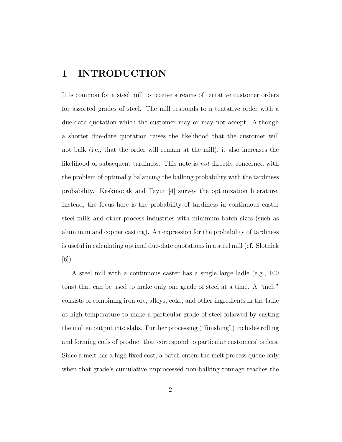### 1 INTRODUCTION

It is common for a steel mill to receive streams of tentative customer orders for assorted grades of steel. The mill responds to a tentative order with a due-date quotation which the customer may or may not accept. Although a shorter due-date quotation raises the likelihood that the customer will not balk (i.e., that the order will remain at the mill), it also increases the likelihood of subsequent tardiness. This note is not directly concerned with the problem of optimally balancing the balking probability with the tardiness probability. Keskinocak and Tayur [4] survey the optimization literature. Instead, the focus here is the probability of tardiness in continuous caster steel mills and other process industries with minimum batch sizes (such as aluminum and copper casting). An expression for the probability of tardiness is useful in calculating optimal due-date quotations in a steel mill (cf. Slotnick [6]).

A steel mill with a continuous caster has a single large ladle (e.g., 100 tons) that can be used to make only one grade of steel at a time. A "melt" consists of combining iron ore, alloys, coke, and other ingredients in the ladle at high temperature to make a particular grade of steel followed by casting the molten output into slabs. Further processing ("finishing") includes rolling and forming coils of product that correspond to particular customers' orders. Since a melt has a high fixed cost, a batch enters the melt process queue only when that grade's cumulative unprocessed non-balking tonnage reaches the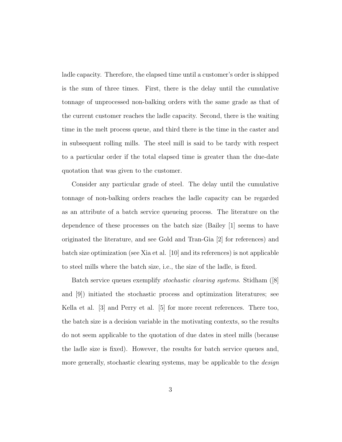ladle capacity. Therefore, the elapsed time until a customer's order is shipped is the sum of three times. First, there is the delay until the cumulative tonnage of unprocessed non-balking orders with the same grade as that of the current customer reaches the ladle capacity. Second, there is the waiting time in the melt process queue, and third there is the time in the caster and in subsequent rolling mills. The steel mill is said to be tardy with respect to a particular order if the total elapsed time is greater than the due-date quotation that was given to the customer.

Consider any particular grade of steel. The delay until the cumulative tonnage of non-balking orders reaches the ladle capacity can be regarded as an attribute of a batch service queueing process. The literature on the dependence of these processes on the batch size (Bailey [1] seems to have originated the literature, and see Gold and Tran-Gia [2] for references) and batch size optimization (see Xia et al. [10] and its references) is not applicable to steel mills where the batch size, i.e., the size of the ladle, is fixed.

Batch service queues exemplify stochastic clearing systems. Stidham ([8] and [9]) initiated the stochastic process and optimization literatures; see Kella et al. [3] and Perry et al. [5] for more recent references. There too, the batch size is a decision variable in the motivating contexts, so the results do not seem applicable to the quotation of due dates in steel mills (because the ladle size is fixed). However, the results for batch service queues and, more generally, stochastic clearing systems, may be applicable to the *design*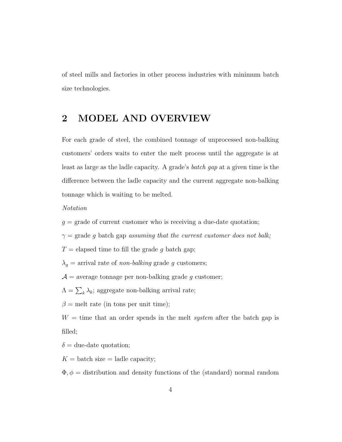of steel mills and factories in other process industries with minimum batch size technologies.

### 2 MODEL AND OVERVIEW

For each grade of steel, the combined tonnage of unprocessed non-balking customers' orders waits to enter the melt process until the aggregate is at least as large as the ladle capacity. A grade's batch gap at a given time is the difference between the ladle capacity and the current aggregate non-balking tonnage which is waiting to be melted.

#### Notation

 $g =$  grade of current customer who is receiving a due-date quotation;

 $\gamma$  = grade g batch gap assuming that the current customer does not balk;

 $T =$  elapsed time to fill the grade g batch gap;

 $\lambda_g$  = arrival rate of *non-balking* grade g customers;

 $\mathcal{A}$  = average tonnage per non-balking grade g customer;

 $\Lambda = \sum_{k} \lambda_k$ ; aggregate non-balking arrival rate;

 $\beta$  = melt rate (in tons per unit time);

 $W =$  time that an order spends in the melt *system* after the batch gap is filled;

 $\delta$  = due-date quotation;

 $K =$  batch size  $=$  ladle capacity;

 $\Phi, \phi =$  distribution and density functions of the (standard) normal random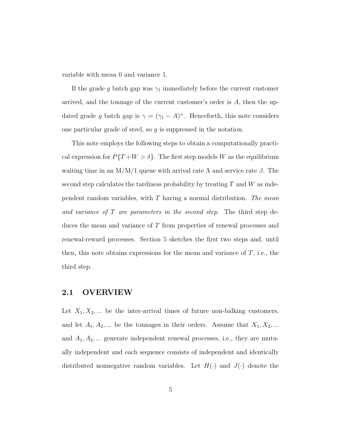variable with mean 0 and variance 1.

If the grade g batch gap was  $\gamma_1$  immediately before the current customer arrived, and the tonnage of the current customer's order is A, then the updated grade g batch gap is  $\gamma = (\gamma_1 - A)^+$ . Henceforth, this note considers one particular grade of steel, so g is suppressed in the notation.

This note employs the following steps to obtain a computationally practical expression for  $P{T+W > \delta}$ . The first step models W as the equilibrium waiting time in an M/M/1 queue with arrival rate  $\Lambda$  and service rate  $\beta$ . The second step calculates the tardiness probability by treating  $T$  and  $W$  as independent random variables, with  $T$  having a normal distribution. The mean and variance of T are parameters in the second step. The third step deduces the mean and variance of T from properties of renewal processes and renewal-reward processes. Section 5 sketches the first two steps and, until then, this note obtains expressions for the mean and variance of  $T$ , i.e., the third step.

#### 2.1 OVERVIEW

Let  $X_1, X_2, \ldots$  be the inter-arrival times of future non-balking customers, and let  $A_1, A_2, \dots$  be the tonnages in their orders. Assume that  $X_1, X_2, \dots$ and  $A_1, A_2, \ldots$  generate independent renewal processes, i.e., they are mutually independent and each sequence consists of independent and identically distributed nonnegative random variables. Let  $H(\cdot)$  and  $J(\cdot)$  denote the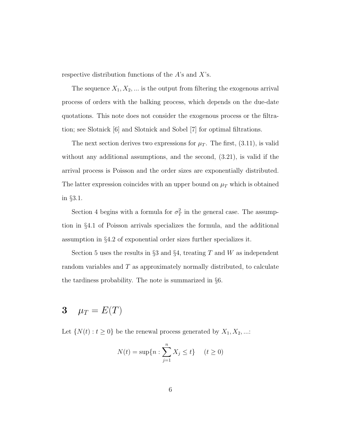respective distribution functions of the A's and X's.

The sequence  $X_1, X_2, \ldots$  is the output from filtering the exogenous arrival process of orders with the balking process, which depends on the due-date quotations. This note does not consider the exogenous process or the filtration; see Slotnick [6] and Slotnick and Sobel [7] for optimal filtrations.

The next section derives two expressions for  $\mu_T$ . The first, (3.11), is valid without any additional assumptions, and the second, (3.21), is valid if the arrival process is Poisson and the order sizes are exponentially distributed. The latter expression coincides with an upper bound on  $\mu$ <sub>T</sub> which is obtained in §3.1.

Section 4 begins with a formula for  $\sigma_T^2$  in the general case. The assumption in §4.1 of Poisson arrivals specializes the formula, and the additional assumption in §4.2 of exponential order sizes further specializes it.

Section 5 uses the results in  $\S 3$  and  $\S 4$ , treating T and W as independent random variables and  $T$  as approximately normally distributed, to calculate the tardiness probability. The note is summarized in §6.

# 3  $\mu_T = E(T)$

Let  $\{N(t): t \geq 0\}$  be the renewal process generated by  $X_1, X_2, ...$ :

$$
N(t) = \sup\{n : \sum_{j=1}^{n} X_j \le t\} \quad (t \ge 0)
$$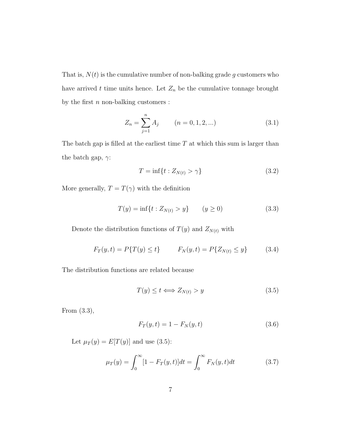That is,  $N(t)$  is the cumulative number of non-balking grade g customers who have arrived  $t$  time units hence. Let  $Z_n$  be the cumulative tonnage brought by the first  $n$  non-balking customers :

$$
Z_n = \sum_{j=1}^n A_j \qquad (n = 0, 1, 2, \ldots)
$$
 (3.1)

The batch gap is filled at the earliest time  $T$  at which this sum is larger than the batch gap,  $\gamma$ :

$$
T = \inf\{t : Z_{N(t)} > \gamma\}
$$
\n
$$
(3.2)
$$

More generally,  $T=T(\gamma)$  with the definition

$$
T(y) = \inf\{t : Z_{N(t)} > y\} \qquad (y \ge 0)
$$
\n(3.3)

Denote the distribution functions of  $T(y)$  and  $Z_{N(t)}$  with

$$
F_T(y, t) = P\{T(y) \le t\} \qquad F_N(y, t) = P\{Z_{N(t)} \le y\} \tag{3.4}
$$

The distribution functions are related because

$$
T(y) \le t \Longleftrightarrow Z_{N(t)} > y \tag{3.5}
$$

From (3.3),

$$
F_T(y, t) = 1 - F_N(y, t)
$$
\n(3.6)

Let  $\mu_T(y) = E[T(y)]$  and use (3.5):

$$
\mu_T(y) = \int_0^\infty [1 - F_T(y, t)] dt = \int_0^\infty F_N(y, t) dt \tag{3.7}
$$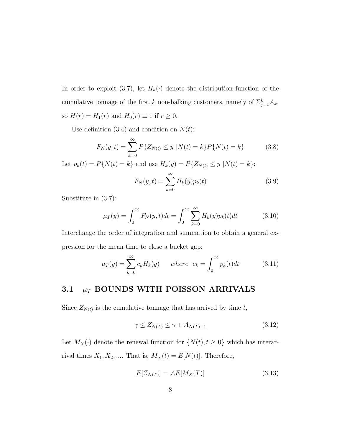In order to exploit (3.7), let  $H_k(\cdot)$  denote the distribution function of the cumulative tonnage of the first k non-balking customers, namely of  $\sum_{j=1}^{k} A_k$ , so  $H(r) = H_1(r)$  and  $H_0(r) \equiv 1$  if  $r \ge 0$ .

Use definition  $(3.4)$  and condition on  $N(t)$ :

$$
F_N(y,t) = \sum_{k=0}^{\infty} P\{Z_{N(t)} \le y \mid N(t) = k\} P\{N(t) = k\}
$$
 (3.8)

Let  $p_k(t) = P\{N(t) = k\}$  and use  $H_k(y) = P\{Z_{N(t)} \le y | N(t) = k\}$ :

$$
F_N(y, t) = \sum_{k=0}^{\infty} H_k(y) p_k(t)
$$
\n(3.9)

Substitute in (3.7):

$$
\mu_T(y) = \int_0^\infty F_N(y, t)dt = \int_0^\infty \sum_{k=0}^\infty H_k(y)p_k(t)dt \tag{3.10}
$$

Interchange the order of integration and summation to obtain a general expression for the mean time to close a bucket gap:

$$
\mu_T(y) = \sum_{k=0}^{\infty} c_k H_k(y) \quad \text{where} \quad c_k = \int_0^{\infty} p_k(t) dt \tag{3.11}
$$

### 3.1  $\mu_T$  BOUNDS WITH POISSON ARRIVALS

Since  $Z_{N(t)}$  is the cumulative tonnage that has arrived by time t,

$$
\gamma \le Z_{N(T)} \le \gamma + A_{N(T)+1} \tag{3.12}
$$

Let  $M_X(\cdot)$  denote the renewal function for  $\{N(t), t \ge 0\}$  which has interarrival times  $X_1, X_2, \dots$  That is,  $M_X(t) = E[N(t)]$ . Therefore,

$$
E[Z_{N(T)}] = \mathcal{A}E[M_X(T)]\tag{3.13}
$$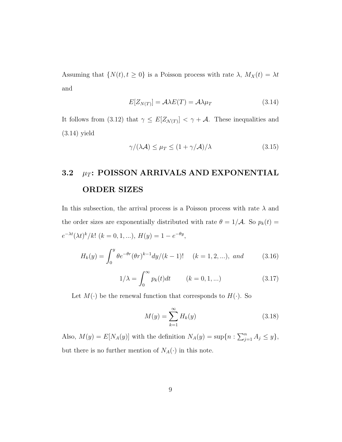Assuming that  $\{N(t), t \ge 0\}$  is a Poisson process with rate  $\lambda$ ,  $M_X(t) = \lambda t$ and

$$
E[Z_{N(T)}] = A\lambda E(T) = A\lambda \mu_T \tag{3.14}
$$

It follows from (3.12) that  $\gamma \leq E[Z_{\mathcal{N}(T)}] < \gamma + \mathcal{A}$ . These inequalities and (3.14) yield

$$
\gamma/(\lambda \mathcal{A}) \le \mu_T \le (1 + \gamma/\mathcal{A})/\lambda \tag{3.15}
$$

## 3.2  $\mu_T$ : POISSON ARRIVALS AND EXPONENTIAL ORDER SIZES

In this subsection, the arrival process is a Poisson process with rate  $\lambda$  and the order sizes are exponentially distributed with rate  $\theta = 1/\mathcal{A}$ . So  $p_k(t) =$  $e^{-\lambda t} (\lambda t)^k / k! \ (k = 0, 1, \ldots), H(y) = 1 - e^{-\theta y},$ 

$$
H_k(y) = \int_0^y \theta e^{-\theta r} (\theta r)^{k-1} dy / (k-1)! \quad (k = 1, 2, \ldots), \text{ and } (3.16)
$$

$$
1/\lambda = \int_0^\infty p_k(t)dt \qquad (k = 0, 1, \ldots) \tag{3.17}
$$

Let  $M(\cdot)$  be the renewal function that corresponds to  $H(\cdot)$ . So

$$
M(y) = \sum_{k=1}^{\infty} H_k(y) \tag{3.18}
$$

Also,  $M(y) = E[N_A(y)]$  with the definition  $N_A(y) = \sup\{n : \sum_{j=1}^n A_j \leq y\},\$ but there is no further mention of  $N_A(\cdot)$  in this note.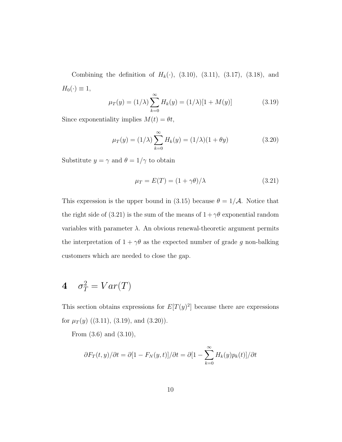Combining the definition of  $H_k(\cdot)$ , (3.10), (3.11), (3.17), (3.18), and  $H_0(\cdot) \equiv 1,$ 

$$
\mu_T(y) = (1/\lambda) \sum_{k=0}^{\infty} H_k(y) = (1/\lambda)[1 + M(y)] \tag{3.19}
$$

Since exponentiality implies  $M(t) = \theta t$ ,

$$
\mu_T(y) = (1/\lambda) \sum_{k=0}^{\infty} H_k(y) = (1/\lambda)(1 + \theta y)
$$
\n(3.20)

Substitute  $y=\gamma$  and  $\theta=1/\gamma$  to obtain

$$
\mu_T = E(T) = (1 + \gamma \theta) / \lambda \tag{3.21}
$$

This expression is the upper bound in (3.15) because  $\theta = 1/\mathcal{A}$ . Notice that the right side of (3.21) is the sum of the means of  $1 + \gamma \theta$  exponential random variables with parameter  $\lambda$ . An obvious renewal-theoretic argument permits the interpretation of  $1+\gamma\theta$  as the expected number of grade  $g$  non-balking customers which are needed to close the gap.

# 4  $\sigma_T^2 = Var(T)$

This section obtains expressions for  $E[T(y)^2]$  because there are expressions for  $\mu_T(y)$  ((3.11), (3.19), and (3.20)).

From (3.6) and (3.10),

$$
\frac{\partial F_T(t,y)}{\partial t} = \frac{\partial [1 - F_N(y,t)]}{\partial t} = \frac{\partial [1 - \sum_{k=0}^{\infty} H_k(y)p_k(t)]}{\partial t}
$$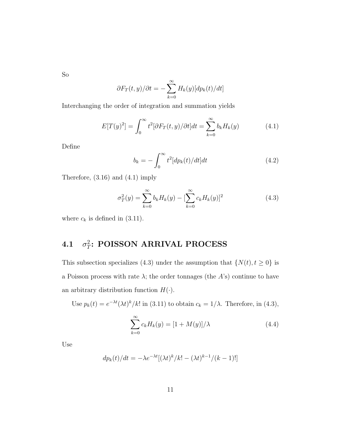So

$$
\partial F_T(t,y)/\partial t = -\sum_{k=0}^{\infty} H_k(y)[dp_k(t)/dt]
$$

Interchanging the order of integration and summation yields

$$
E[T(y)^{2}] = \int_{0}^{\infty} t^{2} [\partial F_{T}(t, y) / \partial t] dt = \sum_{k=0}^{\infty} b_{k} H_{k}(y)
$$
(4.1)

Define

$$
b_k = -\int_0^\infty t^2 [dp_k(t)/dt] dt \qquad (4.2)
$$

Therefore, (3.16) and (4.1) imply

$$
\sigma_T^2(y) = \sum_{k=0}^{\infty} b_k H_k(y) - \left[\sum_{k=0}^{\infty} c_k H_k(y)\right]^2
$$
\n(4.3)

where  $c_k$  is defined in (3.11).

#### $4.1$ 2  $_T^2$ : POISSON ARRIVAL PROCESS

This subsection specializes (4.3) under the assumption that  $\{N(t), t \ge 0\}$  is a Poisson process with rate  $\lambda$ ; the order tonnages (the  $A$ 's) continue to have an arbitrary distribution function  $H(\cdot)$ .

Use  $p_k(t) = e^{-\lambda t} (\lambda t)^k / k!$  in (3.11) to obtain  $c_k = 1/\lambda$ . Therefore, in (4.3),

$$
\sum_{k=0}^{\infty} c_k H_k(y) = \left[1 + M(y)\right] / \lambda \tag{4.4}
$$

Use

$$
dp_k(t)/dt = -\lambda e^{-\lambda t} [(\lambda t)^k/k! - (\lambda t)^{k-1}/(k-1)!]
$$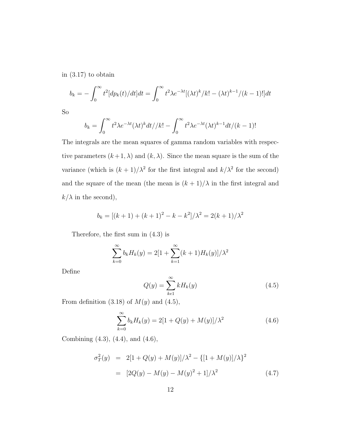in (3.17) to obtain

$$
b_k = -\int_0^\infty t^2 [dp_k(t)/dt] dt = \int_0^\infty t^2 \lambda e^{-\lambda t} [(\lambda t)^k / k! - (\lambda t)^{k-1}/(k-1)!] dt
$$

So

$$
b_k = \int_0^\infty t^2 \lambda e^{-\lambda t} (\lambda t)^k dt / \lambda! - \int_0^\infty t^2 \lambda e^{-\lambda t} (\lambda t)^{k-1} dt / (k-1)!
$$

The integrals are the mean squares of gamma random variables with respective parameters  $(k+1, \lambda)$  and  $(k, \lambda)$ . Since the mean square is the sum of the variance (which is  $(k+1)/\lambda^2$  for the first integral and  $k/\lambda^2$  for the second) and the square of the mean (the mean is  $(k+1)/\lambda$  in the first integral and  $k/\lambda$  in the second),

$$
b_k = [(k+1) + (k+1)^2 - k - k^2]/\lambda^2 = 2(k+1)/\lambda^2
$$

Therefore, the first sum in (4.3) is

$$
\sum_{k=0}^{\infty} b_k H_k(y) = 2[1 + \sum_{k=1}^{\infty} (k+1)H_k(y)]/\lambda^2
$$

Define

$$
Q(y) = \sum_{k=1}^{\infty} k H_k(y)
$$
\n(4.5)

From definition (3.18) of  $M(y)$  and (4.5),

$$
\sum_{k=0}^{\infty} b_k H_k(y) = 2[1 + Q(y) + M(y)]/\lambda^2
$$
\n(4.6)

Combining (4.3), (4.4), and (4.6),

$$
\sigma_T^2(y) = 2[1 + Q(y) + M(y)]/\lambda^2 - \{[1 + M(y)]/\lambda\}^2
$$
  
= 
$$
[2Q(y) - M(y) - M(y)^2 + 1]/\lambda^2
$$
 (4.7)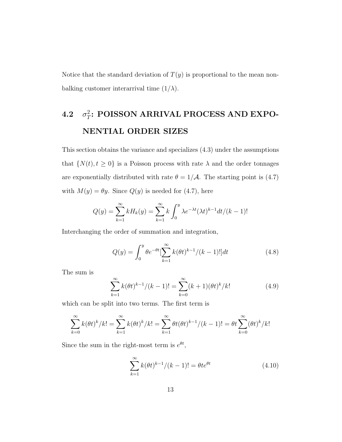Notice that the standard deviation of  $T(y)$  is proportional to the mean nonbalking customer interarrival time  $(1/\lambda)$ .

#### 4.2 2  $T_T^2$ : POISSON ARRIVAL PROCESS AND EXPO-NENTIAL ORDER SIZES

This section obtains the variance and specializes (4.3) under the assumptions that  $\{N(t), t \geq 0\}$  is a Poisson process with rate  $\lambda$  and the order tonnages are exponentially distributed with rate  $\theta = 1/\mathcal{A}$ . The starting point is (4.7) with  $M(y) = \theta y$ . Since  $Q(y)$  is needed for (4.7), here

$$
Q(y) = \sum_{k=1}^{\infty} k H_k(y) = \sum_{k=1}^{\infty} k \int_0^y \lambda e^{-\lambda t} (\lambda t)^{k-1} dt / (k-1)!
$$

Interchanging the order of summation and integration,

$$
Q(y) = \int_0^y \theta e^{-\theta t} \left[ \sum_{k=1}^\infty k(\theta t)^{k-1} / (k-1)! \right] dt \tag{4.8}
$$

The sum is

$$
\sum_{k=1}^{\infty} k(\theta t)^{k-1} / (k-1)! = \sum_{k=0}^{\infty} (k+1)(\theta t)^k / k! \tag{4.9}
$$

which can be split into two terms. The first term is

$$
\sum_{k=0}^{\infty} k(\theta t)^k / k! = \sum_{k=1}^{\infty} k(\theta t)^k / k! = \sum_{k=1}^{\infty} \theta t(\theta t)^{k-1} / (k-1)! = \theta t \sum_{k=0}^{\infty} (\theta t)^k / k!
$$

Since the sum in the right-most term is  $e^{\theta t}$ ,

$$
\sum_{k=1}^{\infty} k(\theta t)^{k-1} / (k-1)! = \theta t e^{\theta t}
$$
 (4.10)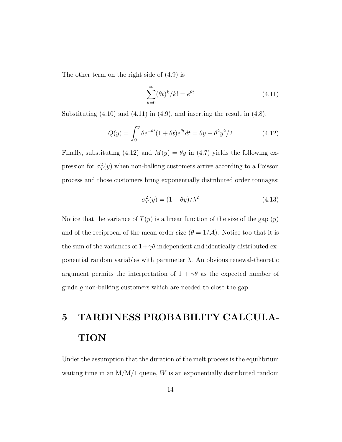The other term on the right side of (4.9) is

$$
\sum_{k=0}^{\infty} (\theta t)^k / k! = e^{\theta t} \tag{4.11}
$$

Substituting  $(4.10)$  and  $(4.11)$  in  $(4.9)$ , and inserting the result in  $(4.8)$ ,

$$
Q(y) = \int_0^y \theta e^{-\theta t} (1 + \theta t) e^{\theta t} dt = \theta y + \theta^2 y^2 / 2
$$
 (4.12)

Finally, substituting (4.12) and  $M(y) = \theta y$  in (4.7) yields the following expression for  $\sigma_T^2(y)$  when non-balking customers arrive according to a Poisson process and those customers bring exponentially distributed order tonnages:

$$
\sigma_T^2(y) = (1 + \theta y) / \lambda^2 \tag{4.13}
$$

Notice that the variance of  $T(y)$  is a linear function of the size of the gap  $(y)$ and of the reciprocal of the mean order size  $(\theta = 1/\mathcal{A})$ . Notice too that it is the sum of the variances of  $1+\gamma\theta$  independent and identically distributed exponential random variables with parameter  $\lambda$ . An obvious renewal-theoretic argument permits the interpretation of  $1 + \gamma \theta$  as the expected number of grade g non-balking customers which are needed to close the gap.

# 5 TARDINESS PROBABILITY CALCULA-**TION**

Under the assumption that the duration of the melt process is the equilibrium waiting time in an  $M/M/1$  queue,  $W$  is an exponentially distributed random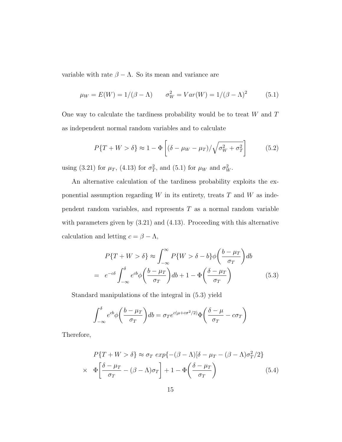variable with rate  $\beta - \Lambda$ . So its mean and variance are

$$
\mu_W = E(W) = 1/(\beta - \Lambda) \qquad \sigma_W^2 = Var(W) = 1/(\beta - \Lambda)^2
$$
\n(5.1)

One way to calculate the tardiness probability would be to treat  $W$  and  $T$ as independent normal random variables and to calculate

$$
P\{T+W > \delta\} \approx 1 - \Phi\left[ (\delta - \mu_W - \mu_T) / \sqrt{\sigma_W^2 + \sigma_T^2} \right] \tag{5.2}
$$

using (3.21) for  $\mu_T$ , (4.13) for  $\sigma_T^2$ , and (5.1) for  $\mu_W$  and  $\sigma_W^2$ .

An alternative calculation of the tardiness probability exploits the exponential assumption regarding  $W$  in its entirety, treats  $T$  and  $W$  as independent random variables, and represents  $T$  as a normal random variable with parameters given by  $(3.21)$  and  $(4.13)$ . Proceeding with this alternative calculation and letting  $c = \beta - \Lambda$ ,

$$
P\{T+W > \delta\} \approx \int_{-\infty}^{\infty} P\{W > \delta - b\} \phi\left(\frac{b-\mu_T}{\sigma_T}\right) db
$$

$$
= e^{-c\delta} \int_{-\infty}^{\delta} e^{c b} \phi\left(\frac{b-\mu_T}{\sigma_T}\right) db + 1 - \Phi\left(\frac{\delta - \mu_T}{\sigma_T}\right) \tag{5.3}
$$

Standard manipulations of the integral in (5.3) yield

$$
\int_{-\infty}^{\delta} e^{cb} \phi \left( \frac{b - \mu_T}{\sigma_T} \right) db = \sigma_T e^{c(\mu + c\sigma^2/2)} \Phi \left( \frac{\delta - \mu}{\sigma_T} - c\sigma_T \right)
$$

Therefore,

$$
P\{T+W > \delta\} \approx \sigma_T \exp\{-(\beta - \Lambda)[\delta - \mu_T - (\beta - \Lambda)\sigma_T^2/2\}
$$
  
 
$$
\times \Phi\left[\frac{\delta - \mu_T}{\sigma_T} - (\beta - \Lambda)\sigma_T\right] + 1 - \Phi\left(\frac{\delta - \mu_T}{\sigma_T}\right) \tag{5.4}
$$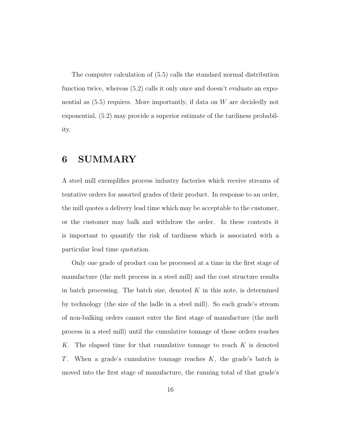The computer calculation of (5.5) calls the standard normal distribution function twice, whereas (5.2) calls it only once and doesn't evaluate an exponential as  $(5.5)$  requires. More importantly, if data on W are decidedly not exponential, (5.2) may provide a superior estimate of the tardiness probability.

#### 6 SUMMARY

A steel mill exemplifies process industry factories which receive streams of tentative orders for assorted grades of their product. In response to an order, the mill quotes a delivery lead time which may be acceptable to the customer, or the customer may balk and withdraw the order. In these contexts it is important to quantify the risk of tardiness which is associated with a particular lead time quotation.

Only one grade of product can be processed at a time in the first stage of manufacture (the melt process in a steel mill) and the cost structure results in batch processing. The batch size, denoted  $K$  in this note, is determined by technology (the size of the ladle in a steel mill). So each grade's stream of non-balking orders cannot enter the first stage of manufacture (the melt process in a steel mill) until the cumulative tonnage of those orders reaches K. The elapsed time for that cumulative tonnage to reach  $K$  is denoted T. When a grade's cumulative tonnage reaches  $K$ , the grade's batch is moved into the first stage of manufacture, the running total of that grade's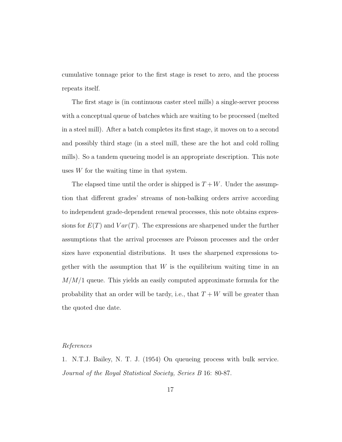cumulative tonnage prior to the first stage is reset to zero, and the process repeats itself.

The first stage is (in continuous caster steel mills) a single-server process with a conceptual queue of batches which are waiting to be processed (melted in a steel mill). After a batch completes its first stage, it moves on to a second and possibly third stage (in a steel mill, these are the hot and cold rolling mills). So a tandem queueing model is an appropriate description. This note uses W for the waiting time in that system.

The elapsed time until the order is shipped is  $T + W$ . Under the assumption that different grades' streams of non-balking orders arrive according to independent grade-dependent renewal processes, this note obtains expressions for  $E(T)$  and  $Var(T)$ . The expressions are sharpened under the further assumptions that the arrival processes are Poisson processes and the order sizes have exponential distributions. It uses the sharpened expressions together with the assumption that  $W$  is the equilibrium waiting time in an  $M/M/1$  queue. This yields an easily computed approximate formula for the probability that an order will be tardy, i.e., that  $T + W$  will be greater than the quoted due date.

#### References

1. N.T.J. Bailey, N. T. J. (1954) On queueing process with bulk service. Journal of the Royal Statistical Society, Series B 16: 80-87.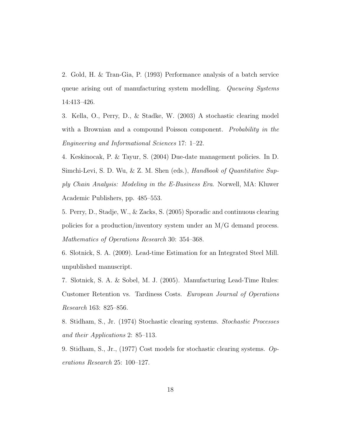2. Gold, H. & Tran-Gia, P. (1993) Performance analysis of a batch service queue arising out of manufacturing system modelling. Queueing Systems 14:413–426.

3. Kella, O., Perry, D., & Stadke, W. (2003) A stochastic clearing model with a Brownian and a compound Poisson component. Probability in the Engineering and Informational Sciences 17: 1–22.

4. Keskinocak, P. & Tayur, S. (2004) Due-date management policies. In D. Simchi-Levi, S. D. Wu, & Z. M. Shen (eds.), *Handbook of Quantitative Sup*ply Chain Analysis: Modeling in the E-Business Era. Norwell, MA: Kluwer Academic Publishers, pp. 485–553.

5. Perry, D., Stadje, W., & Zacks, S. (2005) Sporadic and continuous clearing policies for a production/inventory system under an M/G demand process. Mathematics of Operations Research 30: 354–368.

6. Slotnick, S. A. (2009). Lead-time Estimation for an Integrated Steel Mill. unpublished manuscript.

7. Slotnick, S. A. & Sobel, M. J. (2005). Manufacturing Lead-Time Rules: Customer Retention vs. Tardiness Costs. European Journal of Operations Research 163: 825–856.

8. Stidham, S., Jr. (1974) Stochastic clearing systems. Stochastic Processes and their Applications 2: 85–113.

9. Stidham, S., Jr., (1977) Cost models for stochastic clearing systems. Operations Research 25: 100–127.